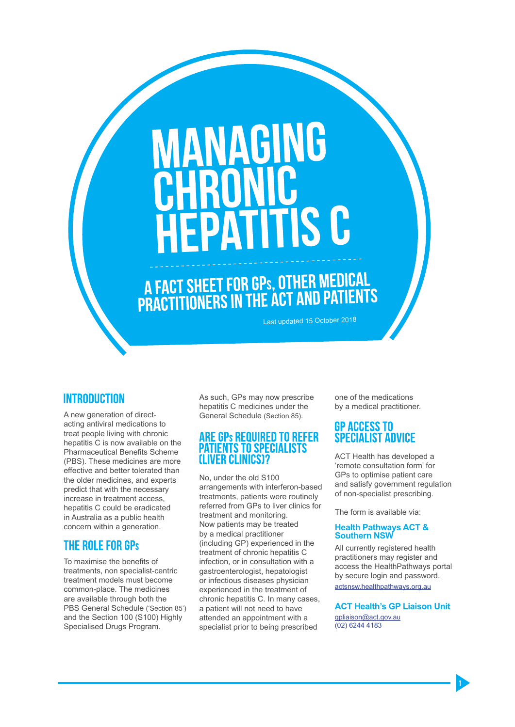# **VANAGING FPATITIS C**

A FACT SHEET FOR GPs, OTHER MEDICAL<br>PRACTITIONERS IN THE ACT AND PATIENTS

Last updated 15 October 2018

#### **INTRODUCTION**

A new generation of directacting antiviral medications to treat people living with chronic hepatitis C is now available on the Pharmaceutical Benefits Scheme (PBS). These medicines are more effective and better tolerated than the older medicines, and experts predict that with the necessary increase in treatment access, hepatitis C could be eradicated in Australia as a public health concern within a generation.

#### THE ROLE FOR GPs

To maximise the benefits of treatments, non specialist-centric treatment models must become common-place. The medicines are available through both the PBS General Schedule ('Section 85') and the Section 100 (S100) Highly Specialised Drugs Program.

As such, GPs may now prescribe hepatitis C medicines under the General Schedule (Section 85).

### **ARE GPS REQUIRED TO REFER<br>PATIENTS TO SPECIALISTS ILIVER CLINICS12**

No, under the old S100 arrangements with interferon-based treatments, patients were routinely referred from GPs to liver clinics for treatment and monitoring. Now patients may be treated by a medical practitioner (including GP) experienced in the treatment of chronic hepatitis C infection, or in consultation with a gastroenterologist, hepatologist or infectious diseases physician experienced in the treatment of chronic hepatitis C. In many cases, a patient will not need to have attended an appointment with a specialist prior to being prescribed

one of the medications by a medical practitioner.

#### GP ACCESS TO **SPECIALIST ADVICE**

ACT Health has developed a 'remote consultation form' for GPs to optimise patient care and satisfy government regulation of non-specialist prescribing.

The form is available via:

#### **Health Pathways ACT & Southern NSW**

All currently registered health practitioners may register and access the HealthPathways portal by secure login and password. actsnsw.healthpathways.org.au

#### **ACT Health's GP Liaison Unit**

gpliaison@act.gov.au (02) 6244 4183